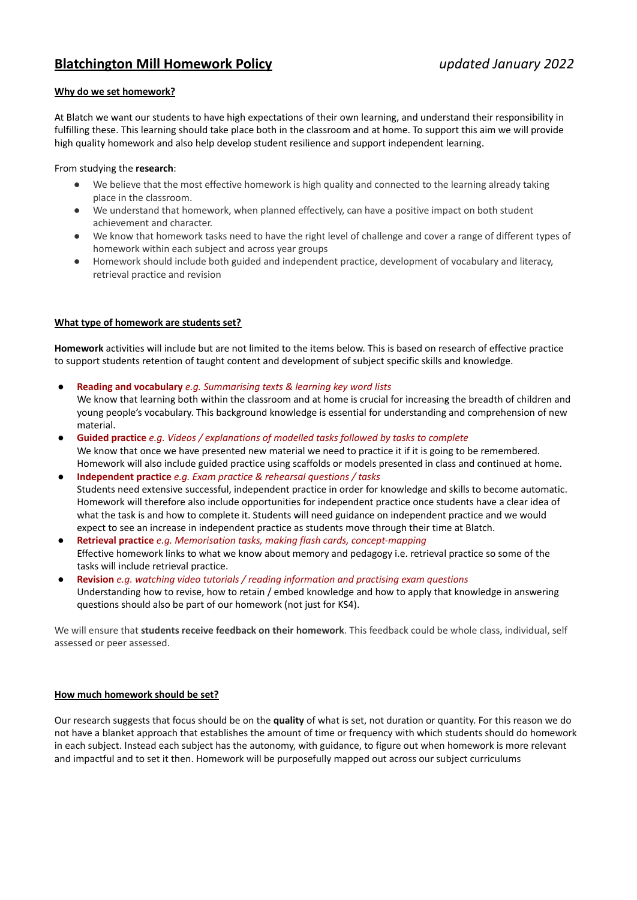# **Blatchington Mill Homework Policy** *updated January 2022*

## **Why do we set homework?**

At Blatch we want our students to have high expectations of their own learning, and understand their responsibility in fulfilling these. This learning should take place both in the classroom and at home. To support this aim we will provide high quality homework and also help develop student resilience and support independent learning.

#### From studying the **research**:

- We believe that the most effective homework is high quality and connected to the learning already taking place in the classroom.
- We understand that homework, when planned effectively, can have a positive impact on both student achievement and character.
- We know that homework tasks need to have the right level of challenge and cover a range of different types of homework within each subject and across year groups
- Homework should include both guided and independent practice, development of vocabulary and literacy, retrieval practice and revision

## **What type of homework are students set?**

**Homework** activities will include but are not limited to the items below. This is based on research of effective practice to support students retention of taught content and development of subject specific skills and knowledge.

● **Reading and vocabulary** *e.g. Summarising texts & learning key word lists*

We know that learning both within the classroom and at home is crucial for increasing the breadth of children and young people's vocabulary. This background knowledge is essential for understanding and comprehension of new material.

- **Guided practice** *e.g. Videos / explanations of modelled tasks followed by tasks to complete* We know that once we have presented new material we need to practice it if it is going to be remembered. Homework will also include guided practice using scaffolds or models presented in class and continued at home.
- **Independent practice** *e.g. Exam practice & rehearsal questions / tasks* Students need extensive successful, independent practice in order for knowledge and skills to become automatic. Homework will therefore also include opportunities for independent practice once students have a clear idea of what the task is and how to complete it. Students will need guidance on independent practice and we would expect to see an increase in independent practice as students move through their time at Blatch.
- **Retrieval practice** *e.g. Memorisation tasks, making flash cards, concept-mapping* Effective homework links to what we know about memory and pedagogy i.e. retrieval practice so some of the tasks will include retrieval practice.
- **Revision** *e.g. watching video tutorials / reading information and practising exam questions* Understanding how to revise, how to retain / embed knowledge and how to apply that knowledge in answering questions should also be part of our homework (not just for KS4).

We will ensure that **students receive feedback on their homework**. This feedback could be whole class, individual, self assessed or peer assessed.

#### **How much homework should be set?**

Our research suggests that focus should be on the **quality** of what is set, not duration or quantity. For this reason we do not have a blanket approach that establishes the amount of time or frequency with which students should do homework in each subject. Instead each subject has the autonomy, with guidance, to figure out when homework is more relevant and impactful and to set it then. Homework will be purposefully mapped out across our subject curriculums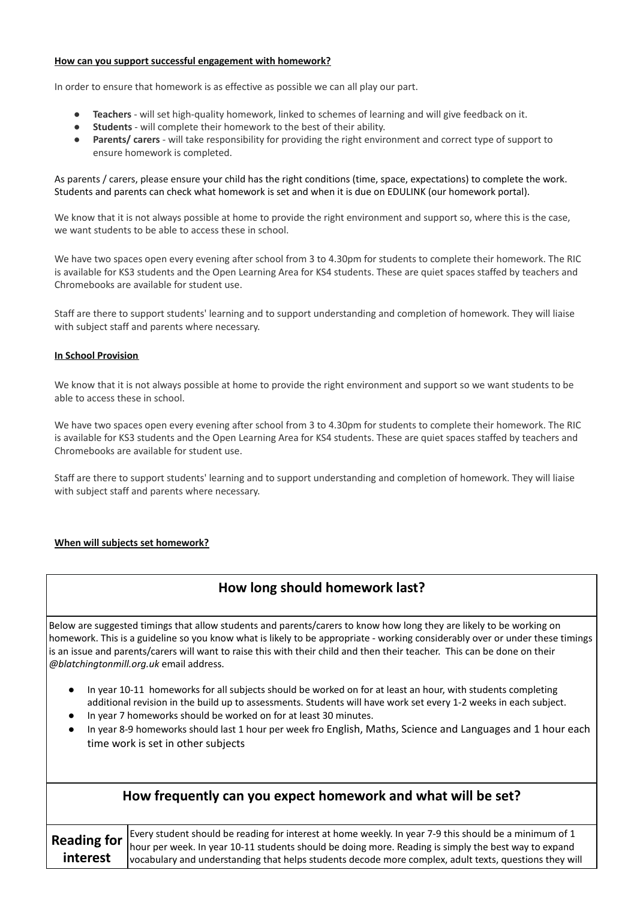#### **How can you support successful engagement with homework?**

In order to ensure that homework is as effective as possible we can all play our part.

- **Teachers** will set high-quality homework, linked to schemes of learning and will give feedback on it.
- **Students** will complete their homework to the best of their ability.
- **Parents/ carers** will take responsibility for providing the right environment and correct type of support to ensure homework is completed.

#### As parents / carers, please ensure your child has the right conditions (time, space, expectations) to complete the work. Students and parents can check what homework is set and when it is due on EDULINK (our homework portal).

We know that it is not always possible at home to provide the right environment and support so, where this is the case, we want students to be able to access these in school.

We have two spaces open every evening after school from 3 to 4.30pm for students to complete their homework. The RIC is available for KS3 students and the Open Learning Area for KS4 students. These are quiet spaces staffed by teachers and Chromebooks are available for student use.

Staff are there to support students' learning and to support understanding and completion of homework. They will liaise with subject staff and parents where necessary.

#### **In School Provision**

We know that it is not always possible at home to provide the right environment and support so we want students to be able to access these in school.

We have two spaces open every evening after school from 3 to 4.30pm for students to complete their homework. The RIC is available for KS3 students and the Open Learning Area for KS4 students. These are quiet spaces staffed by teachers and Chromebooks are available for student use.

Staff are there to support students' learning and to support understanding and completion of homework. They will liaise with subject staff and parents where necessary.

## **When will subjects set homework?**

## **How long should homework last?**

Below are suggested timings that allow students and parents/carers to know how long they are likely to be working on homework. This is a guideline so you know what is likely to be appropriate - working considerably over or under these timings is an issue and parents/carers will want to raise this with their child and then their teacher. This can be done on their *@blatchingtonmill.org.uk* email address.

- In year 10-11 homeworks for all subjects should be worked on for at least an hour, with students completing additional revision in the build up to assessments. Students will have work set every 1-2 weeks in each subject.
- In year 7 homeworks should be worked on for at least 30 minutes.
- In year 8-9 homeworks should last 1 hour per week fro English, Maths, Science and Languages and 1 hour each time work is set in other subjects

| How frequently can you expect homework and what will be set? |                                                                                                                                                                                                                                                                                                                          |  |
|--------------------------------------------------------------|--------------------------------------------------------------------------------------------------------------------------------------------------------------------------------------------------------------------------------------------------------------------------------------------------------------------------|--|
| <b>Reading for</b><br>interest                               | Every student should be reading for interest at home weekly. In year 7-9 this should be a minimum of 1<br>hour per week. In year 10-11 students should be doing more. Reading is simply the best way to expand<br>vocabulary and understanding that helps students decode more complex, adult texts, questions they will |  |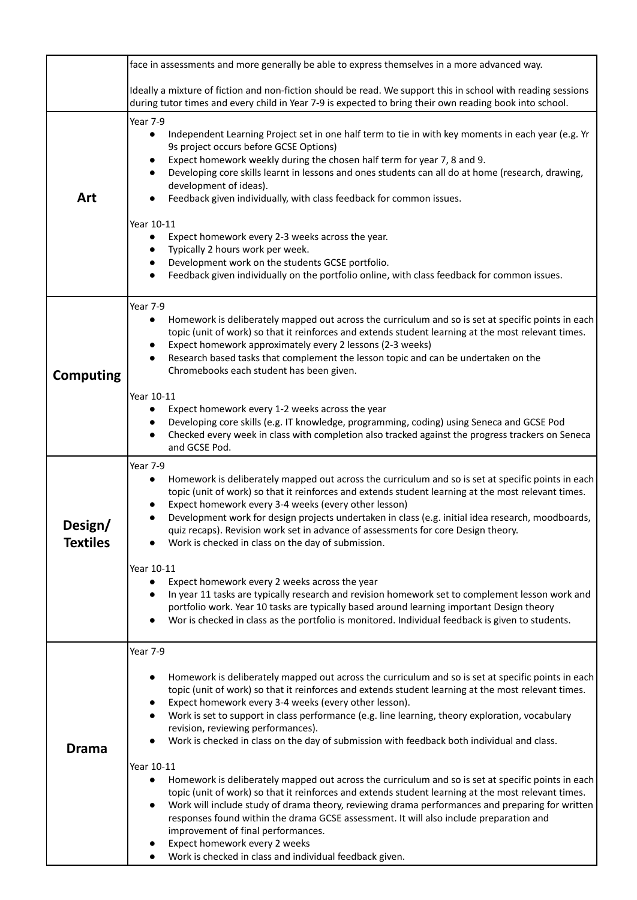|                            | face in assessments and more generally be able to express themselves in a more advanced way.                                                                                                                                                                                                                                                                                                                                                                                                                                                                                     |
|----------------------------|----------------------------------------------------------------------------------------------------------------------------------------------------------------------------------------------------------------------------------------------------------------------------------------------------------------------------------------------------------------------------------------------------------------------------------------------------------------------------------------------------------------------------------------------------------------------------------|
|                            | Ideally a mixture of fiction and non-fiction should be read. We support this in school with reading sessions<br>during tutor times and every child in Year 7-9 is expected to bring their own reading book into school.                                                                                                                                                                                                                                                                                                                                                          |
| Art                        | Year 7-9<br>Independent Learning Project set in one half term to tie in with key moments in each year (e.g. Yr<br>$\bullet$<br>9s project occurs before GCSE Options)<br>Expect homework weekly during the chosen half term for year 7, 8 and 9.<br>Developing core skills learnt in lessons and ones students can all do at home (research, drawing,<br>development of ideas).<br>Feedback given individually, with class feedback for common issues.<br>Year 10-11                                                                                                             |
|                            | Expect homework every 2-3 weeks across the year.<br>Typically 2 hours work per week.<br>Development work on the students GCSE portfolio.<br>Feedback given individually on the portfolio online, with class feedback for common issues.<br>$\bullet$                                                                                                                                                                                                                                                                                                                             |
| <b>Computing</b>           | Year 7-9<br>Homework is deliberately mapped out across the curriculum and so is set at specific points in each<br>$\bullet$<br>topic (unit of work) so that it reinforces and extends student learning at the most relevant times.<br>Expect homework approximately every 2 lessons (2-3 weeks)<br>$\bullet$<br>Research based tasks that complement the lesson topic and can be undertaken on the<br>$\bullet$<br>Chromebooks each student has been given.                                                                                                                      |
|                            | Year 10-11<br>Expect homework every 1-2 weeks across the year<br>$\bullet$<br>Developing core skills (e.g. IT knowledge, programming, coding) using Seneca and GCSE Pod<br>$\bullet$<br>Checked every week in class with completion also tracked against the progress trackers on Seneca<br>$\bullet$<br>and GCSE Pod.                                                                                                                                                                                                                                                           |
| Design/<br><b>Textiles</b> | Year 7-9<br>Homework is deliberately mapped out across the curriculum and so is set at specific points in each<br>$\bullet$<br>topic (unit of work) so that it reinforces and extends student learning at the most relevant times.<br>Expect homework every 3-4 weeks (every other lesson)<br>Development work for design projects undertaken in class (e.g. initial idea research, moodboards,<br>quiz recaps). Revision work set in advance of assessments for core Design theory.<br>Work is checked in class on the day of submission.                                       |
|                            | Year 10-11<br>Expect homework every 2 weeks across the year<br>$\bullet$<br>In year 11 tasks are typically research and revision homework set to complement lesson work and<br>portfolio work. Year 10 tasks are typically based around learning important Design theory<br>Wor is checked in class as the portfolio is monitored. Individual feedback is given to students.<br>$\bullet$                                                                                                                                                                                        |
| <b>Drama</b>               | Year 7-9<br>Homework is deliberately mapped out across the curriculum and so is set at specific points in each<br>$\bullet$<br>topic (unit of work) so that it reinforces and extends student learning at the most relevant times.<br>Expect homework every 3-4 weeks (every other lesson).<br>$\bullet$<br>Work is set to support in class performance (e.g. line learning, theory exploration, vocabulary<br>$\bullet$<br>revision, reviewing performances).<br>Work is checked in class on the day of submission with feedback both individual and class.                     |
|                            | Year 10-11<br>Homework is deliberately mapped out across the curriculum and so is set at specific points in each<br>$\bullet$<br>topic (unit of work) so that it reinforces and extends student learning at the most relevant times.<br>Work will include study of drama theory, reviewing drama performances and preparing for written<br>$\bullet$<br>responses found within the drama GCSE assessment. It will also include preparation and<br>improvement of final performances.<br>Expect homework every 2 weeks<br>Work is checked in class and individual feedback given. |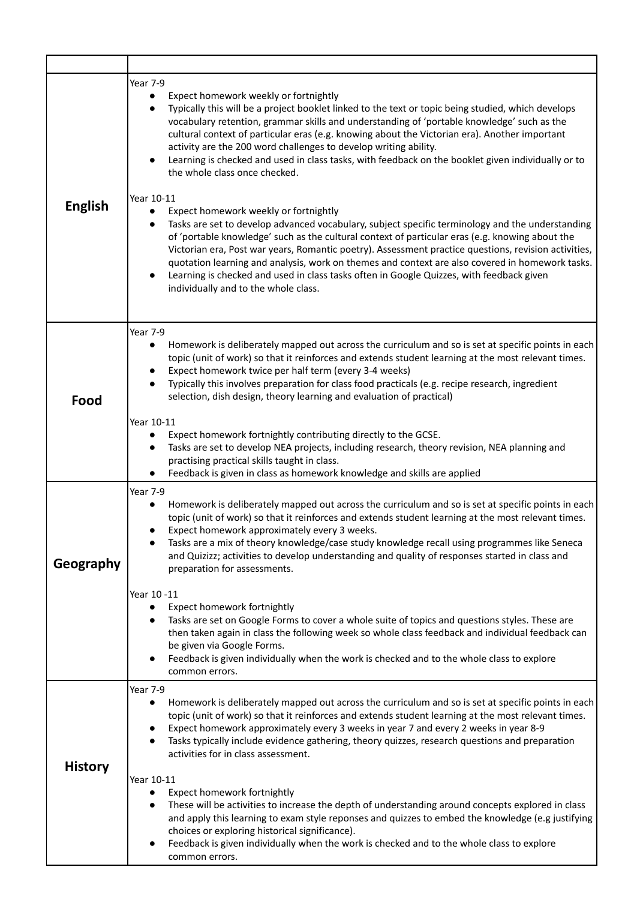| <b>English</b> | Year 7-9<br>Expect homework weekly or fortnightly<br>Typically this will be a project booklet linked to the text or topic being studied, which develops<br>vocabulary retention, grammar skills and understanding of 'portable knowledge' such as the<br>cultural context of particular eras (e.g. knowing about the Victorian era). Another important<br>activity are the 200 word challenges to develop writing ability.<br>Learning is checked and used in class tasks, with feedback on the booklet given individually or to<br>the whole class once checked.<br>Year 10-11<br>Expect homework weekly or fortnightly<br>$\bullet$<br>Tasks are set to develop advanced vocabulary, subject specific terminology and the understanding<br>$\bullet$<br>of 'portable knowledge' such as the cultural context of particular eras (e.g. knowing about the<br>Victorian era, Post war years, Romantic poetry). Assessment practice questions, revision activities,<br>quotation learning and analysis, work on themes and context are also covered in homework tasks.<br>Learning is checked and used in class tasks often in Google Quizzes, with feedback given<br>individually and to the whole class. |
|----------------|----------------------------------------------------------------------------------------------------------------------------------------------------------------------------------------------------------------------------------------------------------------------------------------------------------------------------------------------------------------------------------------------------------------------------------------------------------------------------------------------------------------------------------------------------------------------------------------------------------------------------------------------------------------------------------------------------------------------------------------------------------------------------------------------------------------------------------------------------------------------------------------------------------------------------------------------------------------------------------------------------------------------------------------------------------------------------------------------------------------------------------------------------------------------------------------------------------|
| Food           | Year 7-9<br>Homework is deliberately mapped out across the curriculum and so is set at specific points in each<br>٠<br>topic (unit of work) so that it reinforces and extends student learning at the most relevant times.<br>Expect homework twice per half term (every 3-4 weeks)<br>Typically this involves preparation for class food practicals (e.g. recipe research, ingredient<br>selection, dish design, theory learning and evaluation of practical)<br>Year 10-11<br>Expect homework fortnightly contributing directly to the GCSE.<br>Tasks are set to develop NEA projects, including research, theory revision, NEA planning and<br>practising practical skills taught in class.<br>Feedback is given in class as homework knowledge and skills are applied                                                                                                                                                                                                                                                                                                                                                                                                                                |
| Geography      | <b>Year 7-9</b><br>Homework is deliberately mapped out across the curriculum and so is set at specific points in each<br>topic (unit of work) so that it reinforces and extends student learning at the most relevant times.<br>Expect homework approximately every 3 weeks.<br>Tasks are a mix of theory knowledge/case study knowledge recall using programmes like Seneca<br>and Quizizz; activities to develop understanding and quality of responses started in class and<br>preparation for assessments.<br>Year 10 -11<br>Expect homework fortnightly<br>Tasks are set on Google Forms to cover a whole suite of topics and questions styles. These are<br>then taken again in class the following week so whole class feedback and individual feedback can<br>be given via Google Forms.<br>Feedback is given individually when the work is checked and to the whole class to explore<br>common errors.                                                                                                                                                                                                                                                                                          |
| <b>History</b> | Year 7-9<br>Homework is deliberately mapped out across the curriculum and so is set at specific points in each<br>$\bullet$<br>topic (unit of work) so that it reinforces and extends student learning at the most relevant times.<br>Expect homework approximately every 3 weeks in year 7 and every 2 weeks in year 8-9<br>Tasks typically include evidence gathering, theory quizzes, research questions and preparation<br>$\bullet$<br>activities for in class assessment.<br>Year 10-11<br>Expect homework fortnightly<br>$\bullet$<br>These will be activities to increase the depth of understanding around concepts explored in class<br>and apply this learning to exam style reponses and quizzes to embed the knowledge (e.g justifying<br>choices or exploring historical significance).<br>Feedback is given individually when the work is checked and to the whole class to explore<br>common errors.                                                                                                                                                                                                                                                                                     |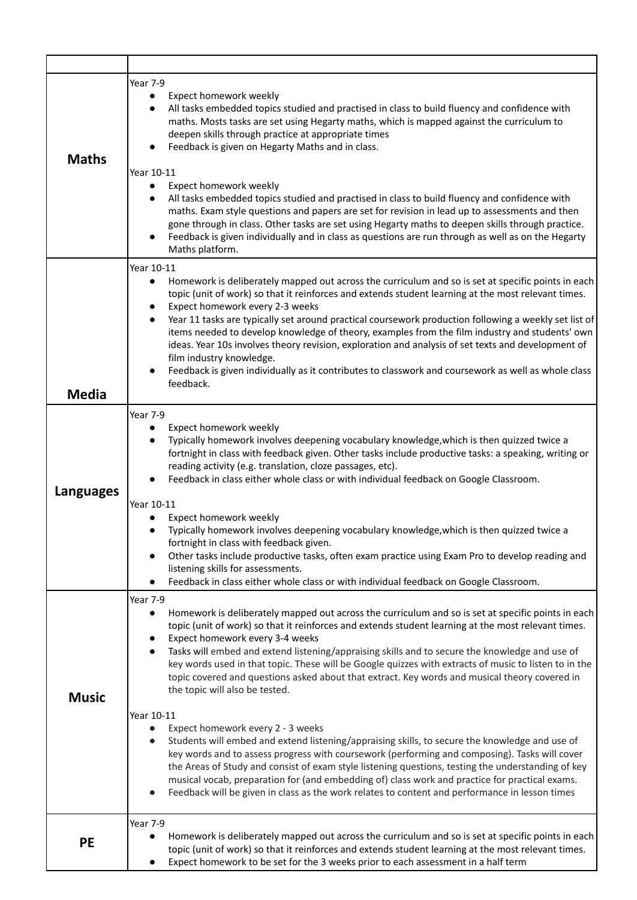| <b>Maths</b>     | Year 7-9<br>Expect homework weekly<br>$\bullet$<br>All tasks embedded topics studied and practised in class to build fluency and confidence with<br>maths. Mosts tasks are set using Hegarty maths, which is mapped against the curriculum to<br>deepen skills through practice at appropriate times<br>Feedback is given on Hegarty Maths and in class.<br>Year 10-11<br>Expect homework weekly<br>٠<br>All tasks embedded topics studied and practised in class to build fluency and confidence with<br>maths. Exam style questions and papers are set for revision in lead up to assessments and then<br>gone through in class. Other tasks are set using Hegarty maths to deepen skills through practice.<br>Feedback is given individually and in class as questions are run through as well as on the Hegarty<br>Maths platform.                                                                                                                                                                                                                                                                                                                                                   |
|------------------|------------------------------------------------------------------------------------------------------------------------------------------------------------------------------------------------------------------------------------------------------------------------------------------------------------------------------------------------------------------------------------------------------------------------------------------------------------------------------------------------------------------------------------------------------------------------------------------------------------------------------------------------------------------------------------------------------------------------------------------------------------------------------------------------------------------------------------------------------------------------------------------------------------------------------------------------------------------------------------------------------------------------------------------------------------------------------------------------------------------------------------------------------------------------------------------|
| <b>Media</b>     | Year 10-11<br>Homework is deliberately mapped out across the curriculum and so is set at specific points in each<br>$\bullet$<br>topic (unit of work) so that it reinforces and extends student learning at the most relevant times.<br>Expect homework every 2-3 weeks<br>Year 11 tasks are typically set around practical coursework production following a weekly set list of<br>items needed to develop knowledge of theory, examples from the film industry and students' own<br>ideas. Year 10s involves theory revision, exploration and analysis of set texts and development of<br>film industry knowledge.<br>Feedback is given individually as it contributes to classwork and coursework as well as whole class<br>feedback.                                                                                                                                                                                                                                                                                                                                                                                                                                                 |
| <b>Languages</b> | Year 7-9<br>Expect homework weekly<br>Typically homework involves deepening vocabulary knowledge, which is then quizzed twice a<br>fortnight in class with feedback given. Other tasks include productive tasks: a speaking, writing or<br>reading activity (e.g. translation, cloze passages, etc).<br>Feedback in class either whole class or with individual feedback on Google Classroom.<br>Year 10-11<br>Expect homework weekly<br>Typically homework involves deepening vocabulary knowledge, which is then quizzed twice a<br>fortnight in class with feedback given.<br>Other tasks include productive tasks, often exam practice using Exam Pro to develop reading and<br>listening skills for assessments.<br>Feedback in class either whole class or with individual feedback on Google Classroom.                                                                                                                                                                                                                                                                                                                                                                           |
| <b>Music</b>     | Year 7-9<br>Homework is deliberately mapped out across the curriculum and so is set at specific points in each<br>٠<br>topic (unit of work) so that it reinforces and extends student learning at the most relevant times.<br>Expect homework every 3-4 weeks<br>Tasks will embed and extend listening/appraising skills and to secure the knowledge and use of<br>key words used in that topic. These will be Google quizzes with extracts of music to listen to in the<br>topic covered and questions asked about that extract. Key words and musical theory covered in<br>the topic will also be tested.<br>Year 10-11<br>Expect homework every 2 - 3 weeks<br>$\bullet$<br>Students will embed and extend listening/appraising skills, to secure the knowledge and use of<br>key words and to assess progress with coursework (performing and composing). Tasks will cover<br>the Areas of Study and consist of exam style listening questions, testing the understanding of key<br>musical vocab, preparation for (and embedding of) class work and practice for practical exams.<br>Feedback will be given in class as the work relates to content and performance in lesson times |
| <b>PE</b>        | Year 7-9<br>Homework is deliberately mapped out across the curriculum and so is set at specific points in each<br>$\bullet$<br>topic (unit of work) so that it reinforces and extends student learning at the most relevant times.<br>Expect homework to be set for the 3 weeks prior to each assessment in a half term<br>$\bullet$                                                                                                                                                                                                                                                                                                                                                                                                                                                                                                                                                                                                                                                                                                                                                                                                                                                     |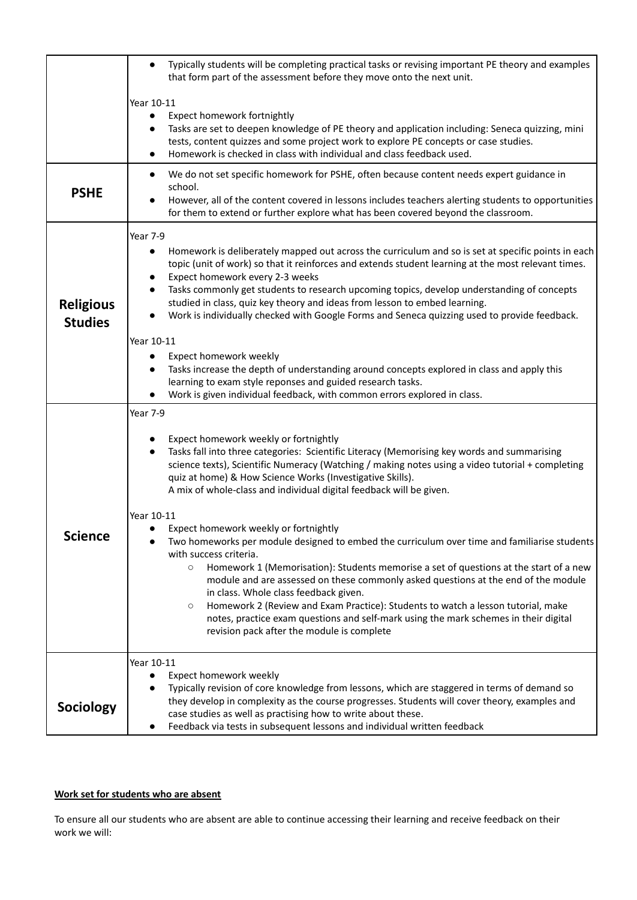|                  | Typically students will be completing practical tasks or revising important PE theory and examples<br>that form part of the assessment before they move onto the next unit.                   |
|------------------|-----------------------------------------------------------------------------------------------------------------------------------------------------------------------------------------------|
|                  | Year 10-11                                                                                                                                                                                    |
|                  | Expect homework fortnightly<br>$\bullet$                                                                                                                                                      |
|                  | Tasks are set to deepen knowledge of PE theory and application including: Seneca quizzing, mini                                                                                               |
|                  | tests, content quizzes and some project work to explore PE concepts or case studies.<br>Homework is checked in class with individual and class feedback used.                                 |
|                  | We do not set specific homework for PSHE, often because content needs expert guidance in<br>$\bullet$                                                                                         |
| <b>PSHE</b>      | school.                                                                                                                                                                                       |
|                  | However, all of the content covered in lessons includes teachers alerting students to opportunities<br>for them to extend or further explore what has been covered beyond the classroom.      |
|                  | Year 7-9                                                                                                                                                                                      |
|                  | Homework is deliberately mapped out across the curriculum and so is set at specific points in each                                                                                            |
|                  | topic (unit of work) so that it reinforces and extends student learning at the most relevant times.                                                                                           |
|                  | Expect homework every 2-3 weeks<br>Tasks commonly get students to research upcoming topics, develop understanding of concepts                                                                 |
| <b>Religious</b> | studied in class, quiz key theory and ideas from lesson to embed learning.                                                                                                                    |
| <b>Studies</b>   | Work is individually checked with Google Forms and Seneca quizzing used to provide feedback.                                                                                                  |
|                  | Year 10-11                                                                                                                                                                                    |
|                  | Expect homework weekly<br>$\bullet$                                                                                                                                                           |
|                  | Tasks increase the depth of understanding around concepts explored in class and apply this<br>$\bullet$                                                                                       |
|                  | learning to exam style reponses and guided research tasks.                                                                                                                                    |
|                  | Work is given individual feedback, with common errors explored in class.                                                                                                                      |
|                  | Year 7-9                                                                                                                                                                                      |
|                  | Expect homework weekly or fortnightly                                                                                                                                                         |
|                  | Tasks fall into three categories: Scientific Literacy (Memorising key words and summarising<br>$\bullet$                                                                                      |
|                  | science texts), Scientific Numeracy (Watching / making notes using a video tutorial + completing                                                                                              |
|                  | quiz at home) & How Science Works (Investigative Skills).<br>A mix of whole-class and individual digital feedback will be given.                                                              |
|                  |                                                                                                                                                                                               |
|                  | Year 10-11                                                                                                                                                                                    |
| <b>Science</b>   | Expect homework weekly or fortnightly<br>Two homeworks per module designed to embed the curriculum over time and familiarise students                                                         |
|                  | with success criteria.                                                                                                                                                                        |
|                  | Homework 1 (Memorisation): Students memorise a set of questions at the start of a new<br>$\circ$                                                                                              |
|                  | module and are assessed on these commonly asked questions at the end of the module<br>in class. Whole class feedback given.                                                                   |
|                  | Homework 2 (Review and Exam Practice): Students to watch a lesson tutorial, make<br>$\circ$                                                                                                   |
|                  | notes, practice exam questions and self-mark using the mark schemes in their digital                                                                                                          |
|                  | revision pack after the module is complete                                                                                                                                                    |
|                  | Year 10-11                                                                                                                                                                                    |
|                  | Expect homework weekly                                                                                                                                                                        |
|                  | Typically revision of core knowledge from lessons, which are staggered in terms of demand so<br>they develop in complexity as the course progresses. Students will cover theory, examples and |
| <b>Sociology</b> | case studies as well as practising how to write about these.                                                                                                                                  |
|                  | Feedback via tests in subsequent lessons and individual written feedback                                                                                                                      |

## **Work set for students who are absent**

To ensure all our students who are absent are able to continue accessing their learning and receive feedback on their work we will: